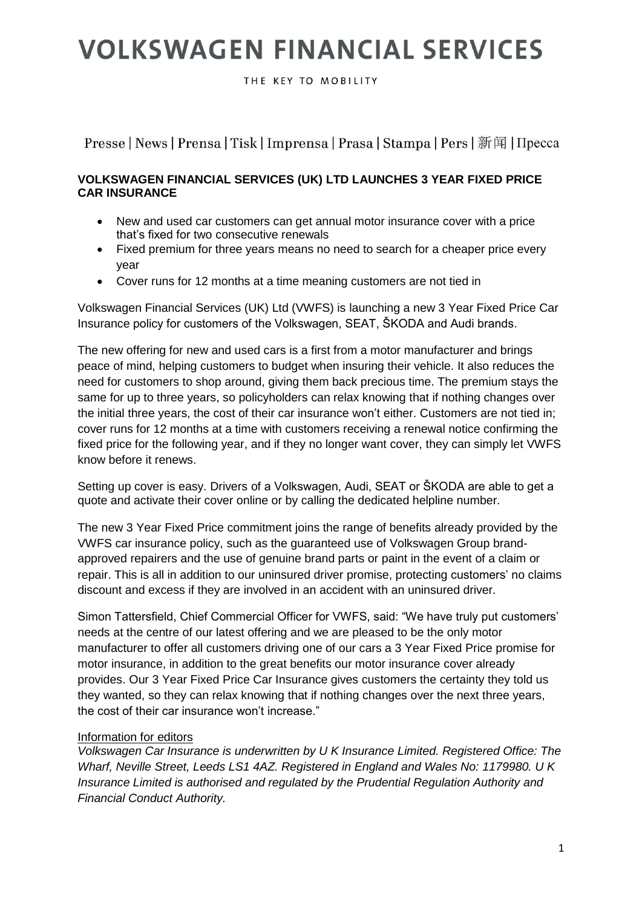# **VOLKSWAGEN FINANCIAL SERVICES**

THE KEY TO MOBILITY

Presse | News | Prensa | Tisk | Imprensa | Prasa | Stampa | Pers | 新闻 | Пресса

#### **VOLKSWAGEN FINANCIAL SERVICES (UK) LTD LAUNCHES 3 YEAR FIXED PRICE CAR INSURANCE**

- New and used car customers can get annual motor insurance cover with a price that's fixed for two consecutive renewals
- Fixed premium for three years means no need to search for a cheaper price every year
- Cover runs for 12 months at a time meaning customers are not tied in

Volkswagen Financial Services (UK) Ltd (VWFS) is launching a new 3 Year Fixed Price Car Insurance policy for customers of the Volkswagen, SEAT, ŠKODA and Audi brands.

The new offering for new and used cars is a first from a motor manufacturer and brings peace of mind, helping customers to budget when insuring their vehicle. It also reduces the need for customers to shop around, giving them back precious time. The premium stays the same for up to three years, so policyholders can relax knowing that if nothing changes over the initial three years, the cost of their car insurance won't either. Customers are not tied in; cover runs for 12 months at a time with customers receiving a renewal notice confirming the fixed price for the following year, and if they no longer want cover, they can simply let VWFS know before it renews.

Setting up cover is easy. Drivers of a Volkswagen, Audi, SEAT or ŠKODA are able to get a quote and activate their cover online or by calling the dedicated helpline number.

The new 3 Year Fixed Price commitment joins the range of benefits already provided by the VWFS car insurance policy, such as the guaranteed use of Volkswagen Group brandapproved repairers and the use of genuine brand parts or paint in the event of a claim or repair. This is all in addition to our uninsured driver promise, protecting customers' no claims discount and excess if they are involved in an accident with an uninsured driver.

Simon Tattersfield, Chief Commercial Officer for VWFS, said: "We have truly put customers' needs at the centre of our latest offering and we are pleased to be the only motor manufacturer to offer all customers driving one of our cars a 3 Year Fixed Price promise for motor insurance, in addition to the great benefits our motor insurance cover already provides. Our 3 Year Fixed Price Car Insurance gives customers the certainty they told us they wanted, so they can relax knowing that if nothing changes over the next three years, the cost of their car insurance won't increase."

### Information for editors

*Volkswagen Car Insurance is underwritten by U K Insurance Limited. Registered Office: The Wharf, Neville Street, Leeds LS1 4AZ. Registered in England and Wales No: 1179980. U K Insurance Limited is authorised and regulated by the Prudential Regulation Authority and Financial Conduct Authority.*